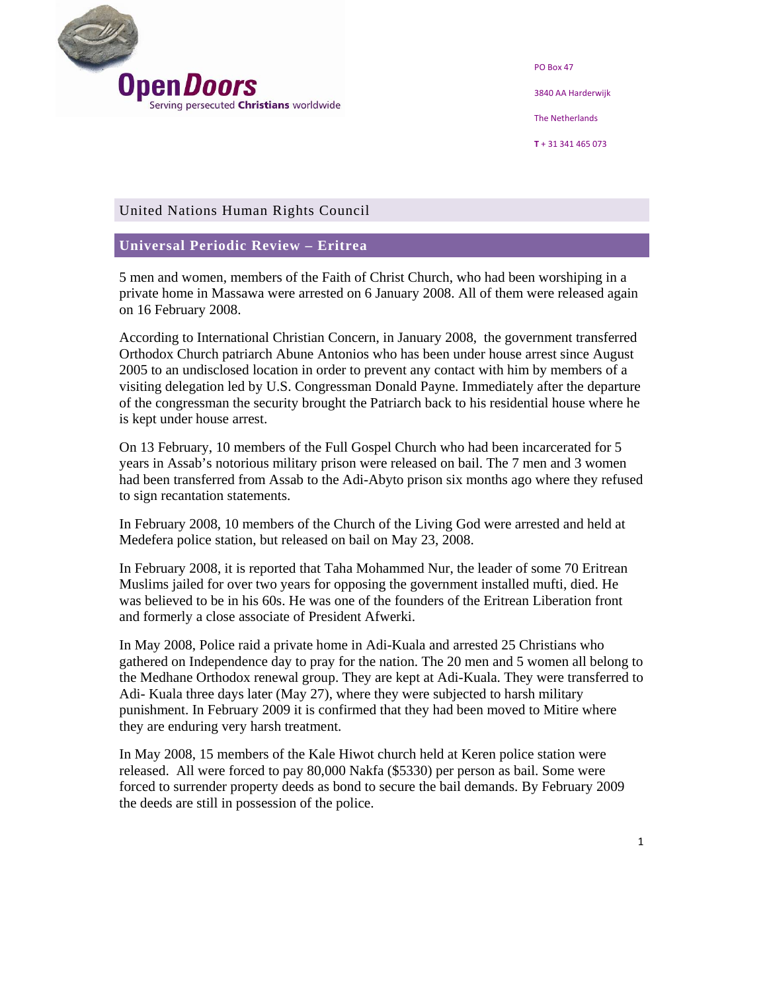

PO Box 47 3840 AA Harderwijk The Netherlands **T** + 31 341 465 073

## United Nations Human Rights Council

## **Universal Periodic Review – Eritrea**

5 men and women, members of the Faith of Christ Church, who had been worshiping in a private home in Massawa were arrested on 6 January 2008. All of them were released again on 16 February 2008.

According to International Christian Concern, in January 2008, the government transferred Orthodox Church patriarch Abune Antonios who has been under house arrest since August 2005 to an undisclosed location in order to prevent any contact with him by members of a visiting delegation led by U.S. Congressman Donald Payne. Immediately after the departure of the congressman the security brought the Patriarch back to his residential house where he is kept under house arrest.

On 13 February, 10 members of the Full Gospel Church who had been incarcerated for 5 years in Assab's notorious military prison were released on bail. The 7 men and 3 women had been transferred from Assab to the Adi-Abyto prison six months ago where they refused to sign recantation statements.

In February 2008, 10 members of the Church of the Living God were arrested and held at Medefera police station, but released on bail on May 23, 2008.

In February 2008, it is reported that Taha Mohammed Nur, the leader of some 70 Eritrean Muslims jailed for over two years for opposing the government installed mufti, died. He was believed to be in his 60s. He was one of the founders of the Eritrean Liberation front and formerly a close associate of President Afwerki.

In May 2008, Police raid a private home in Adi-Kuala and arrested 25 Christians who gathered on Independence day to pray for the nation. The 20 men and 5 women all belong to the Medhane Orthodox renewal group. They are kept at Adi-Kuala. They were transferred to Adi- Kuala three days later (May 27), where they were subjected to harsh military punishment. In February 2009 it is confirmed that they had been moved to Mitire where they are enduring very harsh treatment.

In May 2008, 15 members of the Kale Hiwot church held at Keren police station were released. All were forced to pay 80,000 Nakfa (\$5330) per person as bail. Some were forced to surrender property deeds as bond to secure the bail demands. By February 2009 the deeds are still in possession of the police.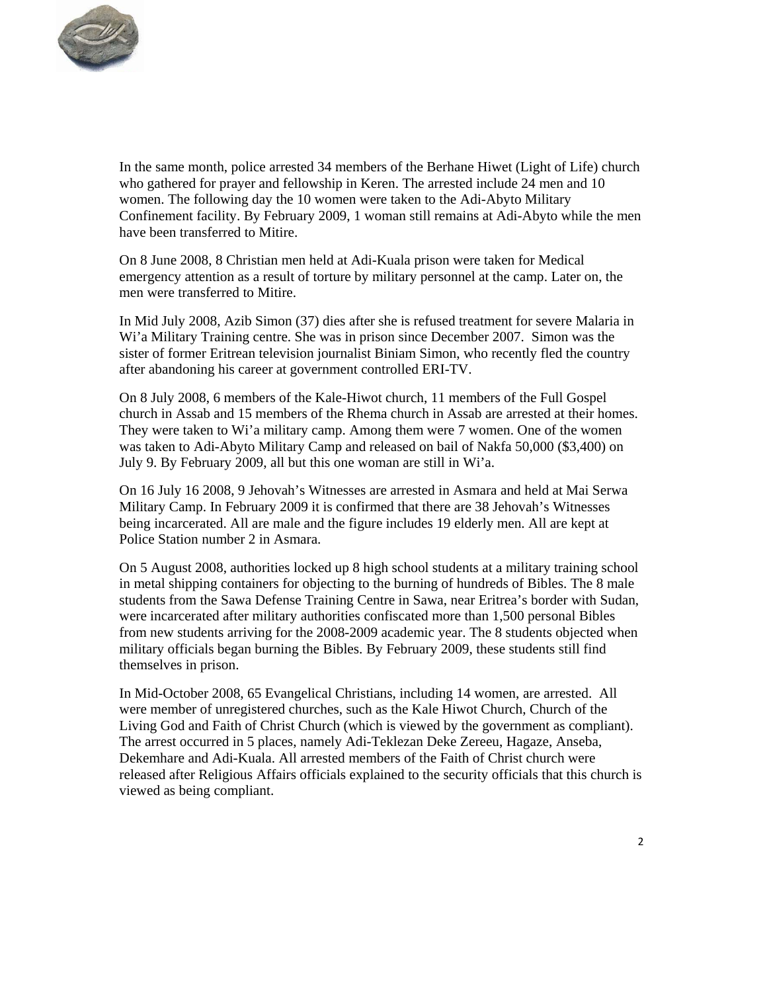

In the same month, police arrested 34 members of the Berhane Hiwet (Light of Life) church who gathered for prayer and fellowship in Keren. The arrested include 24 men and 10 women. The following day the 10 women were taken to the Adi-Abyto Military Confinement facility. By February 2009, 1 woman still remains at Adi-Abyto while the men have been transferred to Mitire.

On 8 June 2008, 8 Christian men held at Adi-Kuala prison were taken for Medical emergency attention as a result of torture by military personnel at the camp. Later on, the men were transferred to Mitire.

In Mid July 2008, Azib Simon (37) dies after she is refused treatment for severe Malaria in Wi'a Military Training centre. She was in prison since December 2007. Simon was the sister of former Eritrean television journalist Biniam Simon, who recently fled the country after abandoning his career at government controlled ERI-TV.

On 8 July 2008, 6 members of the Kale-Hiwot church, 11 members of the Full Gospel church in Assab and 15 members of the Rhema church in Assab are arrested at their homes. They were taken to Wi'a military camp. Among them were 7 women. One of the women was taken to Adi-Abyto Military Camp and released on bail of Nakfa 50,000 (\$3,400) on July 9. By February 2009, all but this one woman are still in Wi'a.

On 16 July 16 2008, 9 Jehovah's Witnesses are arrested in Asmara and held at Mai Serwa Military Camp. In February 2009 it is confirmed that there are 38 Jehovah's Witnesses being incarcerated. All are male and the figure includes 19 elderly men. All are kept at Police Station number 2 in Asmara.

On 5 August 2008, authorities locked up 8 high school students at a military training school in metal shipping containers for objecting to the burning of hundreds of Bibles. The 8 male students from the Sawa Defense Training Centre in Sawa, near Eritrea's border with Sudan, were incarcerated after military authorities confiscated more than 1,500 personal Bibles from new students arriving for the 2008-2009 academic year. The 8 students objected when military officials began burning the Bibles. By February 2009, these students still find themselves in prison.

In Mid-October 2008, 65 Evangelical Christians, including 14 women, are arrested. All were member of unregistered churches, such as the Kale Hiwot Church, Church of the Living God and Faith of Christ Church (which is viewed by the government as compliant). The arrest occurred in 5 places, namely Adi-Teklezan Deke Zereeu, Hagaze, Anseba, Dekemhare and Adi-Kuala. All arrested members of the Faith of Christ church were released after Religious Affairs officials explained to the security officials that this church is viewed as being compliant.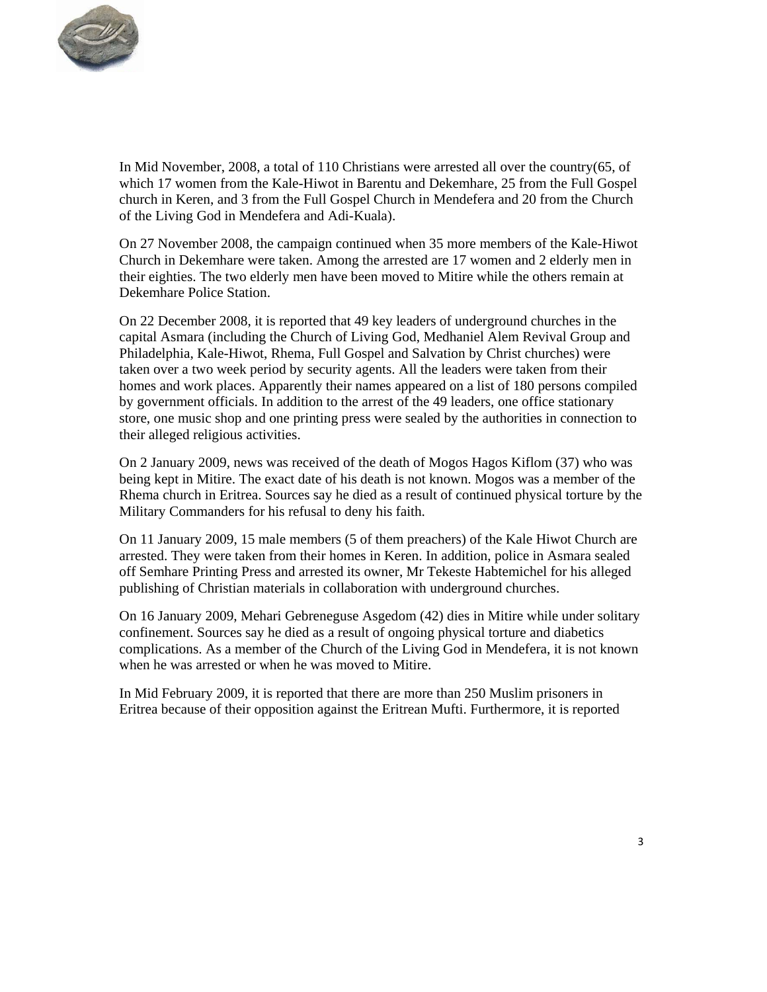

In Mid November, 2008, a total of 110 Christians were arrested all over the country(65, of which 17 women from the Kale-Hiwot in Barentu and Dekemhare, 25 from the Full Gospel church in Keren, and 3 from the Full Gospel Church in Mendefera and 20 from the Church of the Living God in Mendefera and Adi-Kuala).

On 27 November 2008, the campaign continued when 35 more members of the Kale-Hiwot Church in Dekemhare were taken. Among the arrested are 17 women and 2 elderly men in their eighties. The two elderly men have been moved to Mitire while the others remain at Dekemhare Police Station.

On 22 December 2008, it is reported that 49 key leaders of underground churches in the capital Asmara (including the Church of Living God, Medhaniel Alem Revival Group and Philadelphia, Kale-Hiwot, Rhema, Full Gospel and Salvation by Christ churches) were taken over a two week period by security agents. All the leaders were taken from their homes and work places. Apparently their names appeared on a list of 180 persons compiled by government officials. In addition to the arrest of the 49 leaders, one office stationary store, one music shop and one printing press were sealed by the authorities in connection to their alleged religious activities.

On 2 January 2009, news was received of the death of Mogos Hagos Kiflom (37) who was being kept in Mitire. The exact date of his death is not known. Mogos was a member of the Rhema church in Eritrea. Sources say he died as a result of continued physical torture by the Military Commanders for his refusal to deny his faith.

On 11 January 2009, 15 male members (5 of them preachers) of the Kale Hiwot Church are arrested. They were taken from their homes in Keren. In addition, police in Asmara sealed off Semhare Printing Press and arrested its owner, Mr Tekeste Habtemichel for his alleged publishing of Christian materials in collaboration with underground churches.

On 16 January 2009, Mehari Gebreneguse Asgedom (42) dies in Mitire while under solitary confinement. Sources say he died as a result of ongoing physical torture and diabetics complications. As a member of the Church of the Living God in Mendefera, it is not known when he was arrested or when he was moved to Mitire.

In Mid February 2009, it is reported that there are more than 250 Muslim prisoners in Eritrea because of their opposition against the Eritrean Mufti. Furthermore, it is reported